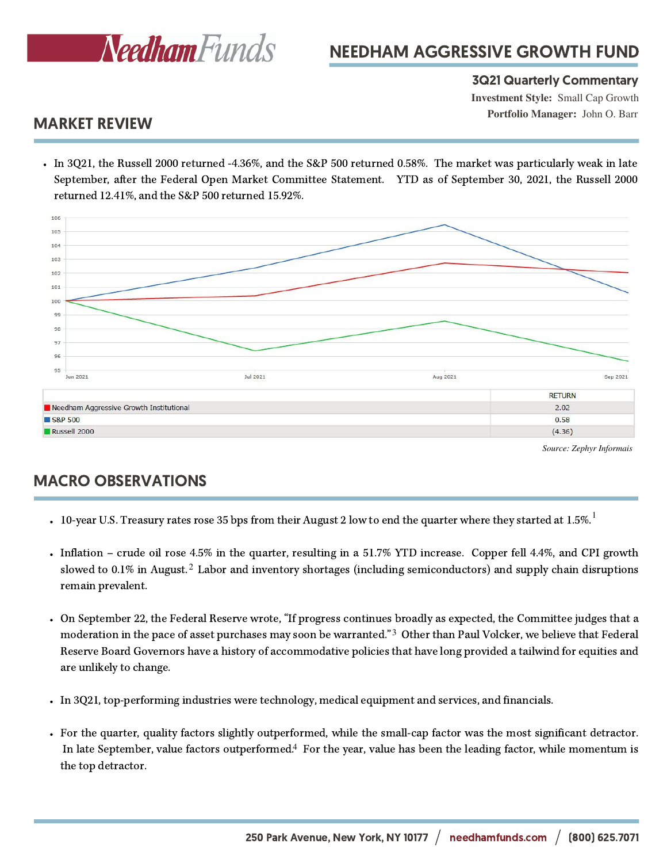

## NEEDHAM AGGRESSIVE GROWTH FUND

#### 3Q21 Quarterly Commentary

**Investment Style:** Small Cap Growth **Portfolio Manager:** John O. Barr

## MARKET REVIEW

In 3Q21, the Russell 2000 returned -4.36%, and the S&P 500 returned 0.58%. The market was particularly weak in late September, after the Federal Open Market Committee Statement. YTD as of September 30, 2021, the Russell 2000 returned 12.41%, and the S&P 500 returned 15.92%.



*Source: Zephyr Informais*

## MACRO OBSERVATIONS

- 10-year U.S. Treasury rates rose 35 bps from their August 2 low to end the quarter where they started at 1.5%.
- Inflation crude oil rose 4.5% in the quarter, resulting in a 51.7% YTD increase. Copper fell 4.4%, and CPI growth slowed to 0.1% in August.<sup>2</sup> Labor and inventory shortages (including semiconductors) and supply chain disruptions remain prevalent.
- On September 22, the Federal Reserve wrote, "If progress continues broadly as expected, the Committee judges that a moderation in the pace of asset purchases may soon be warranted."<sup>3</sup> Other than Paul Volcker, we believe that Federal Reserve Board Governors have a history of accommodative policies that have long provided a tailwind for equities and are unlikely to change.
- In 3Q21, top-performing industries were technology, medical equipment and services, and financials.
- For the quarter, quality factors slightly outperformed, while the small-cap factor was the most significant detractor. In late September, value factors outperformed.<sup>4</sup> For the year, value has been the leading factor, while momentum is the top detractor.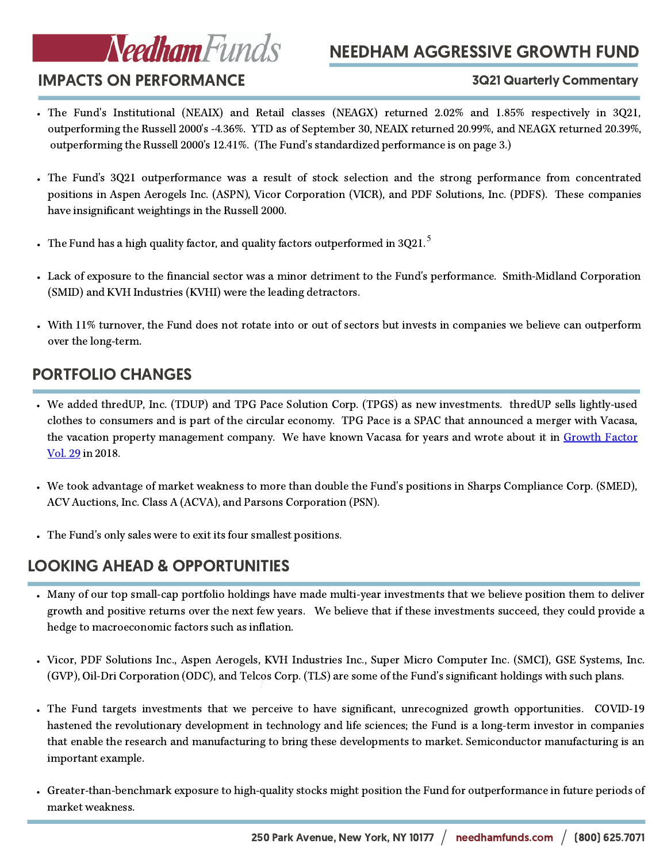# Needham Funds

# NEEDHAM AGGRESSIVE GROWTH FUND

## IMPACTS ON PERFORMANCE

#### 3Q21 Quarterly Commentary

- The Fund's Institutional (NEAIX) and Retail classes (NEAGX) returned 2.02% and 1.85% respectively in 3Q21, outperforming the Russell 2000's -4.36%. YTD as of September 30, NEAIX returned 20.99%, and NEAGX returned 20.39%, outperforming the Russell 2000's 12.41%. (The Fund's standardized performance is on page 3.)
- The Fund's 3Q21 outperformance was a result of stock selection and the strong performance from concentrated positions in Aspen Aerogels Inc. (ASPN), Vicor Corporation (VICR), and PDF Solutions, Inc. (PDFS). These companies have insignificant weightings in the Russell 2000.
- The Fund has a high quality factor, and quality factors outperformed in 3021.  $^{\rm 5}$
- Lack of exposure to the financial sector was a minor detriment to the Fund's performance. Smith-Midland Corporation (SMID) and KVH Industries (KVHI) were the leading detractors.
- With 11% turnover, the Fund does not rotate into or out of sectors but invests in companies we believe can outperform over the long-term.

## PORTFOLIO CHANGES

- We added thredUP, Inc. (TDUP) and TPG Pace Solution Corp. (TPGS) as new investments. thredUP sells lightly-used clothes to consumers and is part of the circular economy. TPG Pace is a SPAC that announced a merger with Vacasa, the vacation property [management](https://www.needhamfunds.com/gf_commentary/private-company-profile-vacasa/) company. We have known Vacasa for years and wrote about it in Growth Factor Vol. 29 in 2018.
- We took advantage of market weakness to more than double the Fund's positions in Sharps Compliance Corp. (SMED), ACV Auctions, Inc. Class A (ACVA), and Parsons Corporation (PSN).
- The Fund's only sales were to exit its four smallest positions.

## LOOKING AHEAD & OPPORTUNITIES

- Many of our top small-cap portfolio holdings have made multi-year investments that we believe position them to deliver growth and positive returns over the next few years. We believe that if these investments succeed, they could provide a hedge to macroeconomic factors such as inflation.
- Vicor, PDF Solutions Inc., Aspen Aerogels, KVH Industries Inc., Super Micro Computer Inc. (SMCI), GSE Systems, Inc. (GVP), Oil-Dri Corporation (ODC), and Telcos Corp. (TLS) are some of the Fund's significant holdings with such plans.
- The Fund targets investments that we perceive to have significant, unrecognized growth opportunities. COVID-19 hastened the revolutionary development in technology and life sciences; the Fund is a long-term investor in companies that enable the research and manufacturing to bring these developments to market. Semiconductor manufacturing is an important example.
- Greater-than-benchmark exposure to high-quality stocks might position the Fund for outperformance in future periods of market weakness.